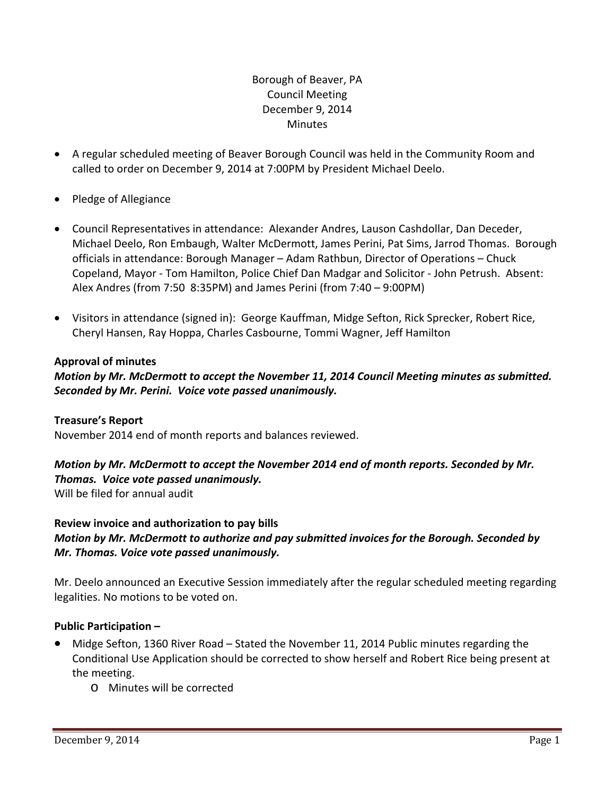# Borough of Beaver, PA Council Meeting December 9, 2014 **Minutes**

- A regular scheduled meeting of Beaver Borough Council was held in the Community Room and called to order on December 9, 2014 at 7:00PM by President Michael Deelo.
- Pledge of Allegiance
- Council Representatives in attendance: Alexander Andres, Lauson Cashdollar, Dan Deceder, Michael Deelo, Ron Embaugh, Walter McDermott, James Perini, Pat Sims, Jarrod Thomas. Borough officials in attendance: Borough Manager – Adam Rathbun, Director of Operations – Chuck Copeland, Mayor ‐ Tom Hamilton, Police Chief Dan Madgar and Solicitor ‐ John Petrush. Absent: Alex Andres (from 7:50 8:35PM) and James Perini (from 7:40 – 9:00PM)
- Visitors in attendance (signed in): George Kauffman, Midge Sefton, Rick Sprecker, Robert Rice, Cheryl Hansen, Ray Hoppa, Charles Casbourne, Tommi Wagner, Jeff Hamilton

# **Approval of minutes**

*Motion by Mr. McDermott to accept the November 11, 2014 Council Meeting minutes as submitted. Seconded by Mr. Perini. Voice vote passed unanimously.* 

## **Treasure's Report**

November 2014 end of month reports and balances reviewed.

## *Motion by Mr. McDermott to accept the November 2014 end of month reports. Seconded by Mr. Thomas. Voice vote passed unanimously.* Will be filed for annual audit

**Review invoice and authorization to pay bills** *Motion by Mr. McDermott to authorize and pay submitted invoices for the Borough. Seconded by Mr. Thomas. Voice vote passed unanimously.*

Mr. Deelo announced an Executive Session immediately after the regular scheduled meeting regarding legalities. No motions to be voted on.

# **Public Participation –**

- Midge Sefton, 1360 River Road Stated the November 11, 2014 Public minutes regarding the Conditional Use Application should be corrected to show herself and Robert Rice being present at the meeting.
	- o Minutes will be corrected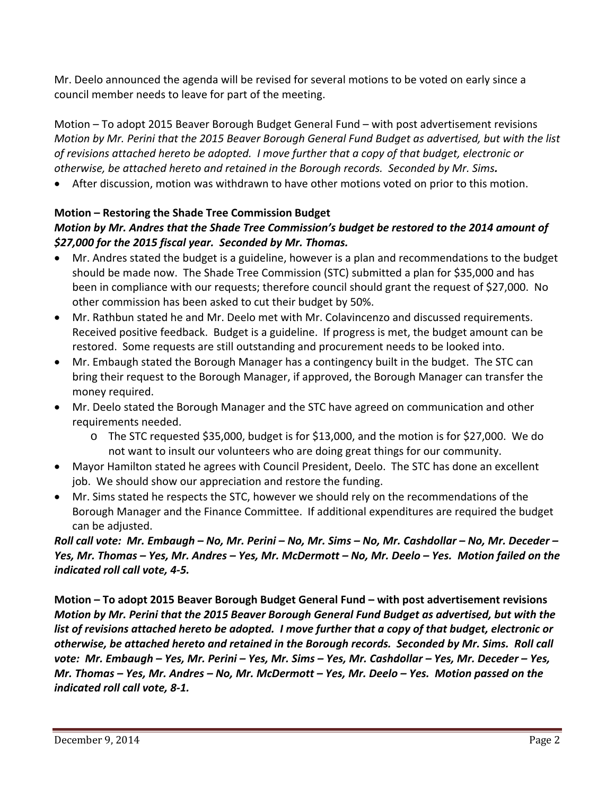Mr. Deelo announced the agenda will be revised for several motions to be voted on early since a council member needs to leave for part of the meeting.

Motion – To adopt 2015 Beaver Borough Budget General Fund – with post advertisement revisions Motion by Mr. Perini that the 2015 Beaver Borough General Fund Budget as advertised, but with the list *of revisions attached hereto be adopted. I move further that a copy of that budget, electronic or otherwise, be attached hereto and retained in the Borough records. Seconded by Mr. Sims.*

After discussion, motion was withdrawn to have other motions voted on prior to this motion.

# **Motion – Restoring the Shade Tree Commission Budget**  *Motion by Mr. Andres that the Shade Tree Commission's budget be restored to the 2014 amount of \$27,000 for the 2015 fiscal year. Seconded by Mr. Thomas.*

- Mr. Andres stated the budget is a guideline, however is a plan and recommendations to the budget should be made now. The Shade Tree Commission (STC) submitted a plan for \$35,000 and has been in compliance with our requests; therefore council should grant the request of \$27,000. No other commission has been asked to cut their budget by 50%.
- Mr. Rathbun stated he and Mr. Deelo met with Mr. Colavincenzo and discussed requirements. Received positive feedback. Budget is a guideline. If progress is met, the budget amount can be restored. Some requests are still outstanding and procurement needs to be looked into.
- Mr. Embaugh stated the Borough Manager has a contingency built in the budget. The STC can bring their request to the Borough Manager, if approved, the Borough Manager can transfer the money required.
- Mr. Deelo stated the Borough Manager and the STC have agreed on communication and other requirements needed.
	- o The STC requested \$35,000, budget is for \$13,000, and the motion is for \$27,000. We do not want to insult our volunteers who are doing great things for our community.
- Mayor Hamilton stated he agrees with Council President, Deelo. The STC has done an excellent job. We should show our appreciation and restore the funding.
- Mr. Sims stated he respects the STC, however we should rely on the recommendations of the Borough Manager and the Finance Committee. If additional expenditures are required the budget can be adjusted.

Roll call vote: Mr. Embaugh - No, Mr. Perini - No, Mr. Sims - No, Mr. Cashdollar - No, Mr. Deceder -Yes, Mr. Thomas – Yes, Mr. Andres – Yes, Mr. McDermott – No, Mr. Deelo – Yes. Motion failed on the *indicated roll call vote, 4‐5.* 

**Motion – To adopt 2015 Beaver Borough Budget General Fund – with post advertisement revisions** *Motion by Mr. Perini that the 2015 Beaver Borough General Fund Budget as advertised, but with the* list of revisions attached hereto be adopted. I move further that a copy of that budget, electronic or otherwise, be attached hereto and retained in the Borough records. Seconded by Mr. Sims. Roll call vote: Mr. Embaugh - Yes, Mr. Perini - Yes, Mr. Sims - Yes, Mr. Cashdollar - Yes, Mr. Deceder - Yes, Mr. Thomas – Yes, Mr. Andres – No, Mr. McDermott – Yes, Mr. Deelo – Yes. Motion passed on the *indicated roll call vote, 8‐1.*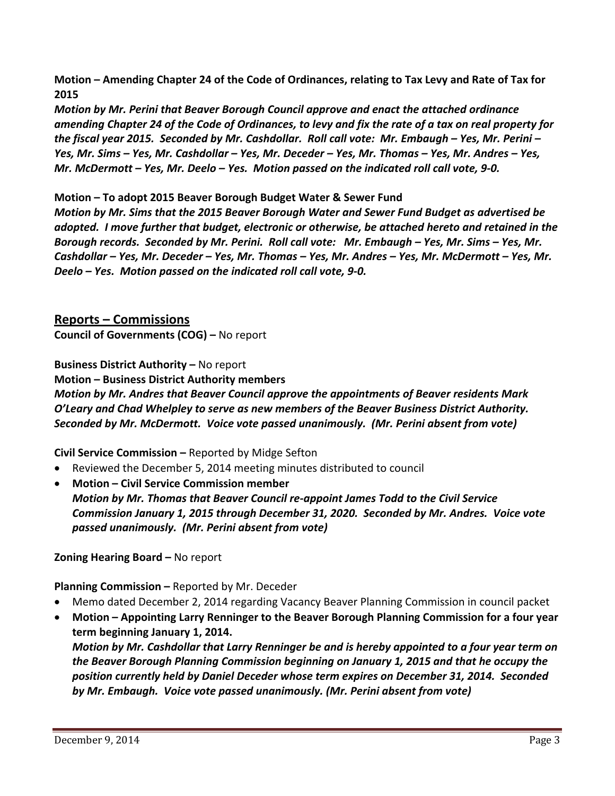Motion – Amending Chapter 24 of the Code of Ordinances, relating to Tax Levy and Rate of Tax for **2015**

*Motion by Mr. Perini that Beaver Borough Council approve and enact the attached ordinance* amending Chapter 24 of the Code of Ordinances, to levy and fix the rate of a tax on real property for the fiscal year 2015. Seconded by Mr. Cashdollar. Roll call vote: Mr. Embaugh – Yes, Mr. Perini – Yes, Mr. Sims – Yes, Mr. Cashdollar – Yes, Mr. Deceder – Yes, Mr. Thomas – Yes, Mr. Andres – Yes, Mr. McDermott - Yes, Mr. Deelo - Yes. Motion passed on the indicated roll call vote, 9-0.

# **Motion – To adopt 2015 Beaver Borough Budget Water & Sewer Fund**

*Motion by Mr. Sims that the 2015 Beaver Borough Water and Sewer Fund Budget as advertised be adopted. I move further that budget, electronic or otherwise, be attached hereto and retained in the* Borough records. Seconded by Mr. Perini. Roll call vote: Mr. Embaugh - Yes, Mr. Sims - Yes, Mr. Cashdollar – Yes, Mr. Deceder – Yes, Mr. Thomas – Yes, Mr. Andres – Yes, Mr. McDermott – Yes, Mr. *Deelo – Yes. Motion passed on the indicated roll call vote, 9‐0.*

**Reports – Commissions Council of Governments (COG) –** No report

**Business District Authority –** No report

**Motion – Business District Authority members**

*Motion by Mr. Andres that Beaver Council approve the appointments of Beaver residents Mark O'Leary and Chad Whelpley to serve as new members of the Beaver Business District Authority. Seconded by Mr. McDermott. Voice vote passed unanimously. (Mr. Perini absent from vote)* 

**Civil Service Commission –** Reported by Midge Sefton

- Reviewed the December 5, 2014 meeting minutes distributed to council
- **Motion – Civil Service Commission member** *Motion by Mr. Thomas that Beaver Council re‐appoint James Todd to the Civil Service Commission January 1, 2015 through December 31, 2020. Seconded by Mr. Andres. Voice vote passed unanimously. (Mr. Perini absent from vote)*

# **Zoning Hearing Board –** No report

**Planning Commission –** Reported by Mr. Deceder

- Memo dated December 2, 2014 regarding Vacancy Beaver Planning Commission in council packet
- **Motion – Appointing Larry Renninger to the Beaver Borough Planning Commission for a four year term beginning January 1, 2014.**

*Motion by Mr. Cashdollar that Larry Renninger be and is hereby appointed to a four year term on the Beaver Borough Planning Commission beginning on January 1, 2015 and that he occupy the position currently held by Daniel Deceder whose term expires on December 31, 2014. Seconded by Mr. Embaugh. Voice vote passed unanimously. (Mr. Perini absent from vote)*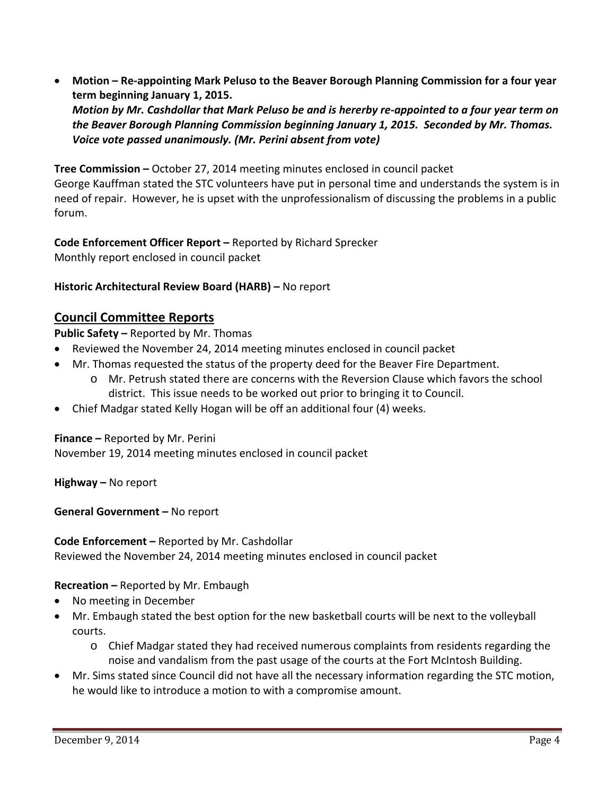**Motion – Re‐appointing Mark Peluso to the Beaver Borough Planning Commission for a four year term beginning January 1, 2015.**

Motion by Mr. Cashdollar that Mark Peluso be and is hererby re-appointed to a four year term on *the Beaver Borough Planning Commission beginning January 1, 2015. Seconded by Mr. Thomas. Voice vote passed unanimously. (Mr. Perini absent from vote)*

**Tree Commission –** October 27, 2014 meeting minutes enclosed in council packet George Kauffman stated the STC volunteers have put in personal time and understands the system is in need of repair. However, he is upset with the unprofessionalism of discussing the problems in a public forum.

**Code Enforcement Officer Report –** Reported by Richard Sprecker Monthly report enclosed in council packet

# **Historic Architectural Review Board (HARB) –** No report

# **Council Committee Reports**

**Public Safety –** Reported by Mr. Thomas

- Reviewed the November 24, 2014 meeting minutes enclosed in council packet
- Mr. Thomas requested the status of the property deed for the Beaver Fire Department.
	- o Mr. Petrush stated there are concerns with the Reversion Clause which favors the school district. This issue needs to be worked out prior to bringing it to Council.
- Chief Madgar stated Kelly Hogan will be off an additional four (4) weeks.

**Finance –** Reported by Mr. Perini

November 19, 2014 meeting minutes enclosed in council packet

**Highway –** No report

**General Government –** No report

**Code Enforcement –** Reported by Mr. Cashdollar

Reviewed the November 24, 2014 meeting minutes enclosed in council packet

**Recreation –** Reported by Mr. Embaugh

- No meeting in December
- Mr. Embaugh stated the best option for the new basketball courts will be next to the volleyball courts.
	- o Chief Madgar stated they had received numerous complaints from residents regarding the noise and vandalism from the past usage of the courts at the Fort McIntosh Building.
- Mr. Sims stated since Council did not have all the necessary information regarding the STC motion, he would like to introduce a motion to with a compromise amount.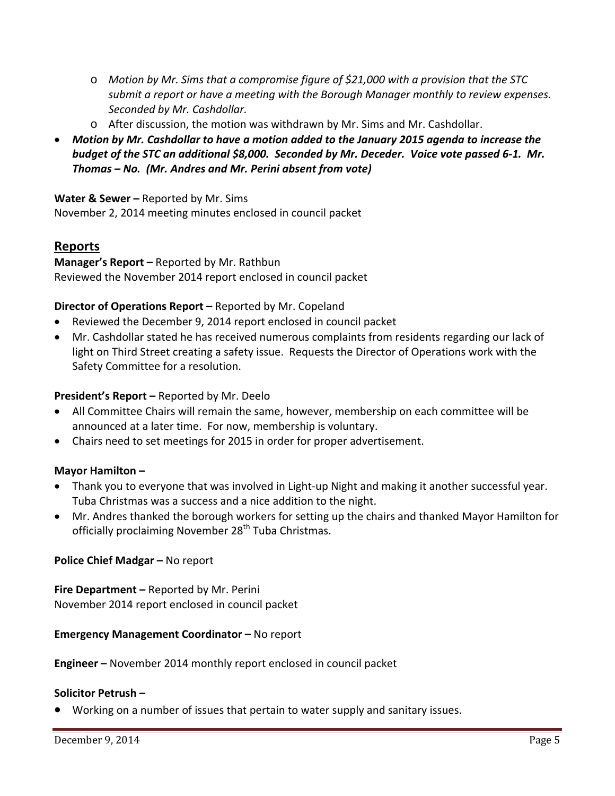- o *Motion by Mr. Sims that a compromise figure of \$21,000 with a provision that the STC submit a report or have a meeting with the Borough Manager monthly to review expenses. Seconded by Mr. Cashdollar.*
- o After discussion, the motion was withdrawn by Mr. Sims and Mr. Cashdollar.
- *Motion by Mr. Cashdollar to have a motion added to the January 2015 agenda to increase the* budget of the STC an additional \$8,000. Seconded by Mr. Deceder. Voice vote passed 6-1. Mr. *Thomas – No. (Mr. Andres and Mr. Perini absent from vote)*

**Water & Sewer –** Reported by Mr. Sims November 2, 2014 meeting minutes enclosed in council packet

# **Reports**

**Manager's Report –** Reported by Mr. Rathbun Reviewed the November 2014 report enclosed in council packet

# **Director of Operations Report –** Reported by Mr. Copeland

- Reviewed the December 9, 2014 report enclosed in council packet
- Mr. Cashdollar stated he has received numerous complaints from residents regarding our lack of light on Third Street creating a safety issue. Requests the Director of Operations work with the Safety Committee for a resolution.

## **President's Report –** Reported by Mr. Deelo

- All Committee Chairs will remain the same, however, membership on each committee will be announced at a later time. For now, membership is voluntary.
- Chairs need to set meetings for 2015 in order for proper advertisement.

## **Mayor Hamilton –**

- Thank you to everyone that was involved in Light‐up Night and making it another successful year. Tuba Christmas was a success and a nice addition to the night.
- Mr. Andres thanked the borough workers for setting up the chairs and thanked Mayor Hamilton for officially proclaiming November 28<sup>th</sup> Tuba Christmas.

## **Police Chief Madgar –** No report

**Fire Department –** Reported by Mr. Perini November 2014 report enclosed in council packet

## **Emergency Management Coordinator –** No report

**Engineer –** November 2014 monthly report enclosed in council packet

## **Solicitor Petrush –**

Working on a number of issues that pertain to water supply and sanitary issues.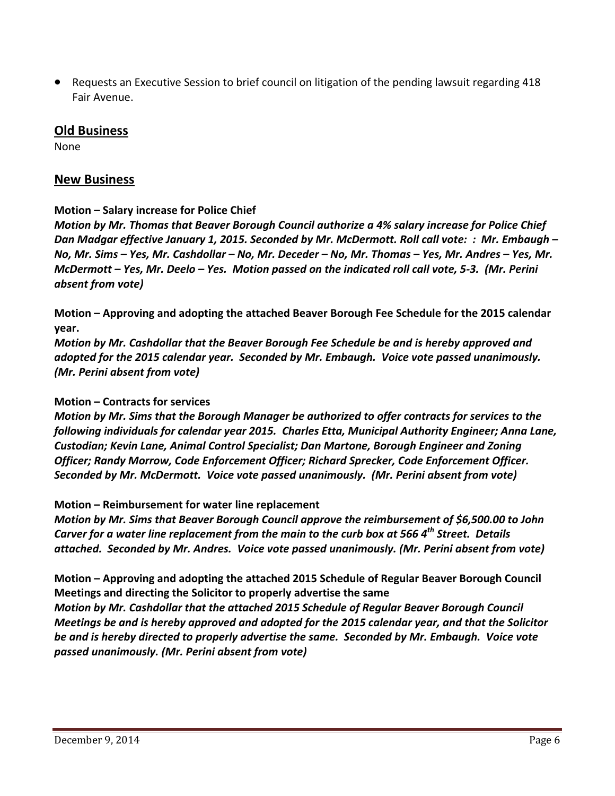Requests an Executive Session to brief council on litigation of the pending lawsuit regarding 418 Fair Avenue.

## **Old Business**

None

## **New Business**

## **Motion – Salary increase for Police Chief**

*Motion by Mr. Thomas that Beaver Borough Council authorize a 4% salary increase for Police Chief* Dan Madgar effective January 1, 2015. Seconded by Mr. McDermott. Roll call vote: : Mr. Embaugh -No, Mr. Sims - Yes, Mr. Cashdollar - No, Mr. Deceder - No, Mr. Thomas - Yes, Mr. Andres - Yes, Mr. McDermott – Yes, Mr. Deelo – Yes. Motion passed on the indicated roll call vote, 5-3. (Mr. Perini *absent from vote)*

**Motion – Approving and adopting the attached Beaver Borough Fee Schedule for the 2015 calendar year.** 

*Motion by Mr. Cashdollar that the Beaver Borough Fee Schedule be and is hereby approved and adopted for the 2015 calendar year. Seconded by Mr. Embaugh. Voice vote passed unanimously. (Mr. Perini absent from vote)*

## **Motion – Contracts for services**

*Motion by Mr. Sims that the Borough Manager be authorized to offer contracts for services to the following individuals for calendar year 2015. Charles Etta, Municipal Authority Engineer; Anna Lane, Custodian; Kevin Lane, Animal Control Specialist; Dan Martone, Borough Engineer and Zoning Officer; Randy Morrow, Code Enforcement Officer; Richard Sprecker, Code Enforcement Officer. Seconded by Mr. McDermott. Voice vote passed unanimously. (Mr. Perini absent from vote)*

## **Motion – Reimbursement for water line replacement**

*Motion by Mr. Sims that Beaver Borough Council approve the reimbursement of \$6,500.00 to John* Carver for a water line replacement from the main to the curb box at 566  $4<sup>th</sup>$  Street. Details *attached. Seconded by Mr. Andres. Voice vote passed unanimously. (Mr. Perini absent from vote)*

**Motion – Approving and adopting the attached 2015 Schedule of Regular Beaver Borough Council Meetings and directing the Solicitor to properly advertise the same**

*Motion by Mr. Cashdollar that the attached 2015 Schedule of Regular Beaver Borough Council Meetings be and is hereby approved and adopted for the 2015 calendar year, and that the Solicitor be and is hereby directed to properly advertise the same. Seconded by Mr. Embaugh. Voice vote passed unanimously. (Mr. Perini absent from vote)*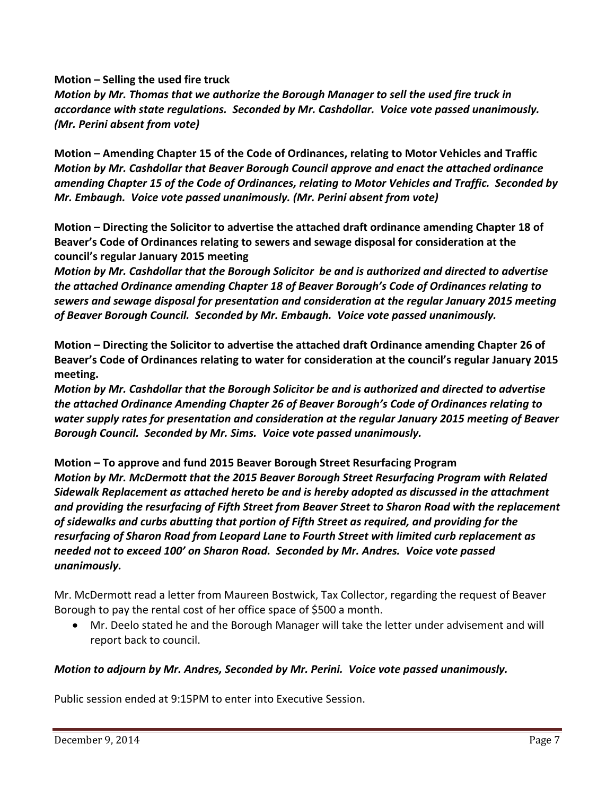**Motion – Selling the used fire truck**

*Motion by Mr. Thomas that we authorize the Borough Manager to sell the used fire truck in accordance with state regulations. Seconded by Mr. Cashdollar. Voice vote passed unanimously. (Mr. Perini absent from vote)*

**Motion – Amending Chapter 15 of the Code of Ordinances, relating to Motor Vehicles and Traffic** *Motion by Mr. Cashdollar that Beaver Borough Council approve and enact the attached ordinance amending Chapter 15 of the Code of Ordinances, relating to Motor Vehicles and Traffic. Seconded by Mr. Embaugh. Voice vote passed unanimously. (Mr. Perini absent from vote)*

**Motion – Directing the Solicitor to advertise the attached draft ordinance amending Chapter 18 of Beaver's Code of Ordinances relating to sewers and sewage disposal for consideration at the council's regular January 2015 meeting**

*Motion by Mr. Cashdollar that the Borough Solicitor be and is authorized and directed to advertise the attached Ordinance amending Chapter 18 of Beaver Borough's Code of Ordinances relating to sewers and sewage disposal for presentation and consideration at the regular January 2015 meeting of Beaver Borough Council. Seconded by Mr. Embaugh. Voice vote passed unanimously.*

**Motion – Directing the Solicitor to advertise the attached draft Ordinance amending Chapter 26 of Beaver's Code of Ordinances relating to water for consideration at the council's regular January 2015 meeting.**

*Motion by Mr. Cashdollar that the Borough Solicitor be and is authorized and directed to advertise the attached Ordinance Amending Chapter 26 of Beaver Borough's Code of Ordinances relating to water supply rates for presentation and consideration at the regular January 2015 meeting of Beaver Borough Council. Seconded by Mr. Sims. Voice vote passed unanimously.*

**Motion – To approve and fund 2015 Beaver Borough Street Resurfacing Program** *Motion by Mr. McDermott that the 2015 Beaver Borough Street Resurfacing Program with Related Sidewalk Replacement as attached hereto be and is hereby adopted as discussed in the attachment and providing the resurfacing of Fifth Street from Beaver Street to Sharon Road with the replacement of sidewalks and curbs abutting that portion of Fifth Street as required, and providing for the resurfacing of Sharon Road from Leopard Lane to Fourth Street with limited curb replacement as needed not to exceed 100' on Sharon Road. Seconded by Mr. Andres. Voice vote passed unanimously.*

Mr. McDermott read a letter from Maureen Bostwick, Tax Collector, regarding the request of Beaver Borough to pay the rental cost of her office space of \$500 a month.

 Mr. Deelo stated he and the Borough Manager will take the letter under advisement and will report back to council.

## *Motion to adjourn by Mr. Andres, Seconded by Mr. Perini. Voice vote passed unanimously.*

Public session ended at 9:15PM to enter into Executive Session.